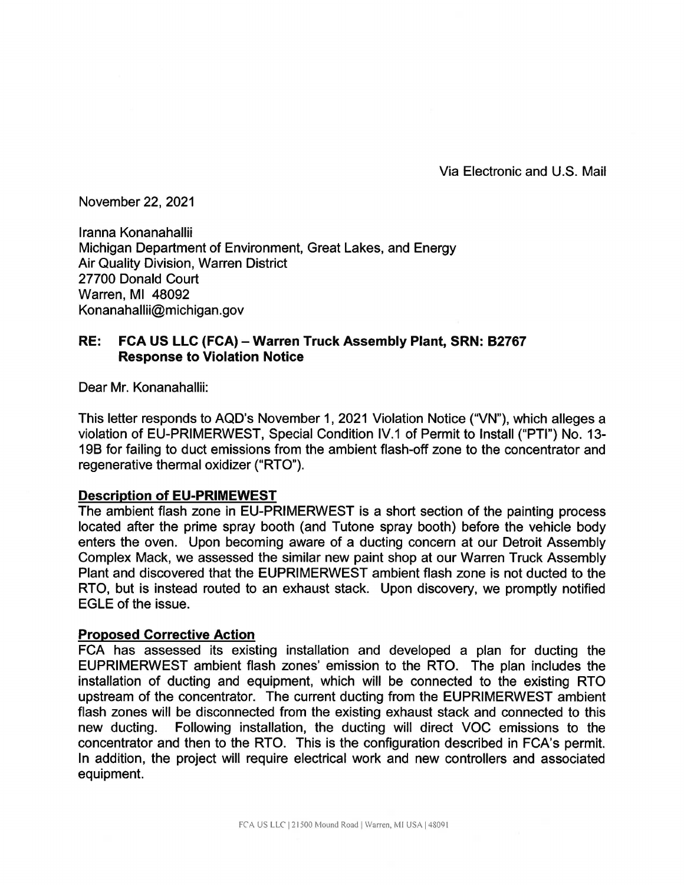Via Electronic and U.S. Mail

November 22, 2021

lranna Konanahallii Michigan Department of Environment, Great Lakes, and Energy Air Quality Division, Warren District 27700 Donald Court Warren, Ml 48092 Konanahallii@michigan.gov

## **RE: FCA US LLC (FCA) - Warren Truck Assembly Plant, SRN: B2767 Response to Violation Notice**

Dear Mr. Konanahallii:

This letter responds to AQD's November 1, 2021 Violation Notice ("VN"), which alleges a violation of EU-PRIMERWEST, Special Condition IV.1 of Permit to Install ("PTI") No. 13- 198 for failing to duct emissions from the ambient flash-off zone to the concentrator and regenerative thermal oxidizer ("RTO").

## **Description of EU-PRIMEWEST**

The ambient flash zone in EU-PRIMERWEST is a short section of the painting process located after the prime spray booth (and Tutone spray booth) before the vehicle body enters the oven. Upon becoming aware of a ducting concern at our Detroit Assembly Complex Mack, we assessed the similar new paint shop at our Warren Truck Assembly Plant and discovered that the EUPRIMERWEST ambient flash zone is not ducted to the RTO, but is instead routed to an exhaust stack. Upon discovery, we promptly notified EGLE of the issue.

## **Proposed Corrective Action**

FCA has assessed its existing installation and developed a plan for ducting the EUPRIMERWEST ambient flash zones' emission to the RTO. The plan includes the installation of ducting and equipment, which will be connected to the existing RTO upstream of the concentrator. The current ducting from the EUPRIMERWEST ambient flash zones will be disconnected from the existing exhaust stack and connected to this new ducting. Following installation, the ducting will direct VOC emissions to the concentrator and then to the RTO. This is the configuration described in FCA's permit. In addition, the project will require electrical work and new controllers and associated equipment.